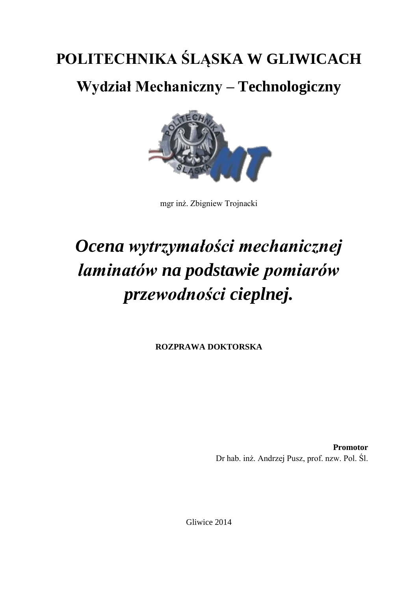## **POLITECHNIKA ŚLĄSKA W GLIWICACH**

**Wydział Mechaniczny – Technologiczny**



mgr inż. Zbigniew Trojnacki

## *Ocena wytrzymałości mechanicznej laminatów na podstawie pomiarów przewodności cieplnej.*

**ROZPRAWA DOKTORSKA**

**Promotor** Dr hab. inż. Andrzej Pusz, prof. nzw. Pol. Śl.

Gliwice 2014